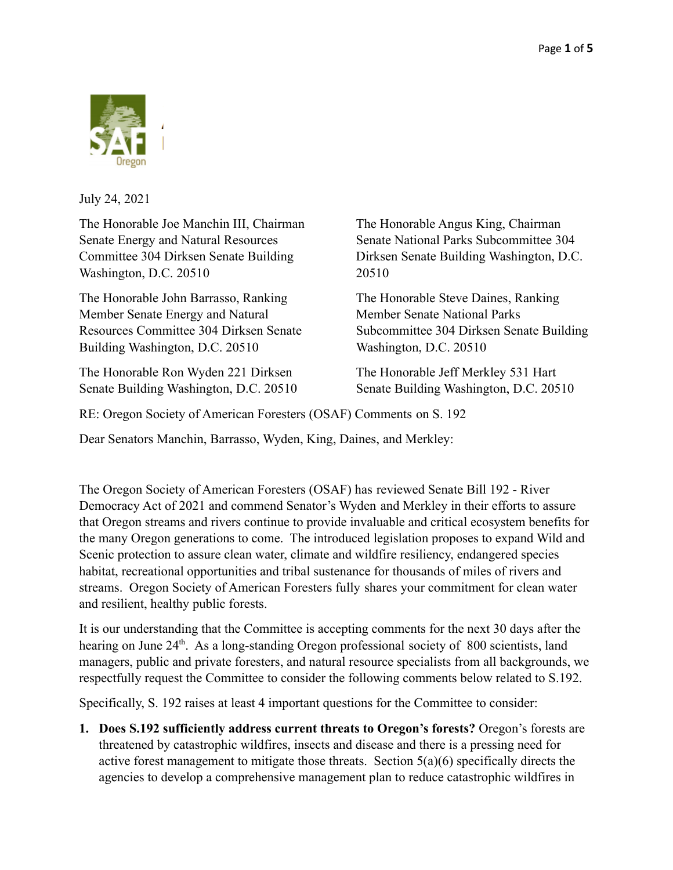

July 24, 2021

The Honorable Joe Manchin III, Chairman Senate Energy and Natural Resources Committee 304 Dirksen Senate Building Washington, D.C. 20510

The Honorable John Barrasso, Ranking Member Senate Energy and Natural Resources Committee 304 Dirksen Senate Building Washington, D.C. 20510

The Honorable Ron Wyden 221 Dirksen Senate Building Washington, D.C. 20510 The Honorable Angus King, Chairman Senate National Parks Subcommittee 304 Dirksen Senate Building Washington, D.C. 20510

The Honorable Steve Daines, Ranking Member Senate National Parks Subcommittee 304 Dirksen Senate Building Washington, D.C. 20510

The Honorable Jeff Merkley 531 Hart Senate Building Washington, D.C. 20510

RE: Oregon Society of American Foresters (OSAF) Comments on S. 192

Dear Senators Manchin, Barrasso, Wyden, King, Daines, and Merkley:

The Oregon Society of American Foresters (OSAF) has reviewed Senate Bill 192 - River Democracy Act of 2021 and commend Senator's Wyden and Merkley in their efforts to assure that Oregon streams and rivers continue to provide invaluable and critical ecosystem benefits for the many Oregon generations to come. The introduced legislation proposes to expand Wild and Scenic protection to assure clean water, climate and wildfire resiliency, endangered species habitat, recreational opportunities and tribal sustenance for thousands of miles of rivers and streams. Oregon Society of American Foresters fully shares your commitment for clean water and resilient, healthy public forests.

It is our understanding that the Committee is accepting comments for the next 30 days after the hearing on June 24<sup>th</sup>. As a long-standing Oregon professional society of 800 scientists, land managers, public and private foresters, and natural resource specialists from all backgrounds, we respectfully request the Committee to consider the following comments below related to S.192.

Specifically, S. 192 raises at least 4 important questions for the Committee to consider:

**1. Does S.192 sufficiently address current threats to Oregon's forests?** Oregon's forests are threatened by catastrophic wildfires, insects and disease and there is a pressing need for active forest management to mitigate those threats. Section 5(a)(6) specifically directs the agencies to develop a comprehensive management plan to reduce catastrophic wildfires in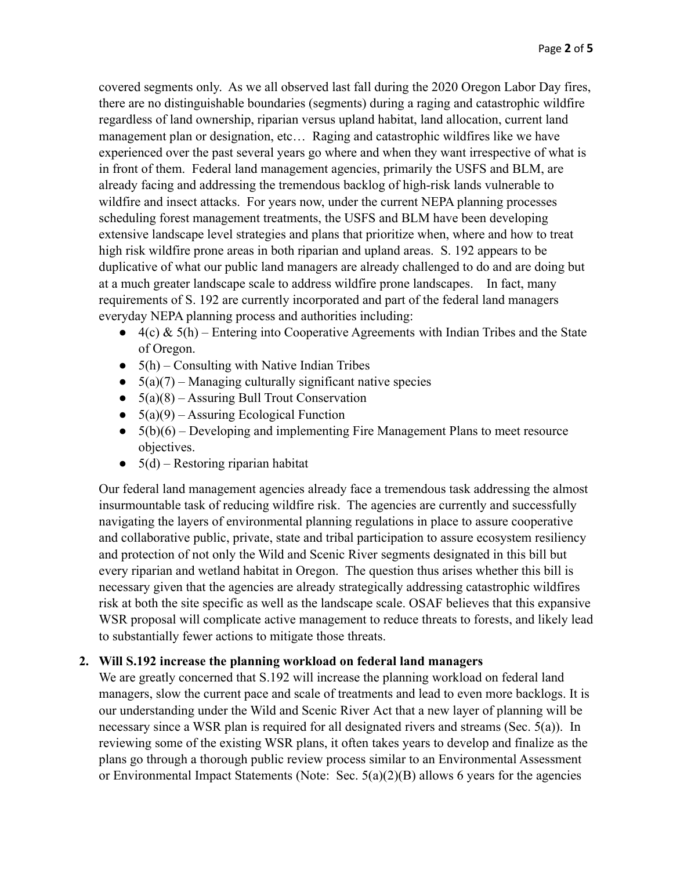covered segments only. As we all observed last fall during the 2020 Oregon Labor Day fires, there are no distinguishable boundaries (segments) during a raging and catastrophic wildfire regardless of land ownership, riparian versus upland habitat, land allocation, current land management plan or designation, etc… Raging and catastrophic wildfires like we have experienced over the past several years go where and when they want irrespective of what is in front of them. Federal land management agencies, primarily the USFS and BLM, are already facing and addressing the tremendous backlog of high-risk lands vulnerable to wildfire and insect attacks. For years now, under the current NEPA planning processes scheduling forest management treatments, the USFS and BLM have been developing extensive landscape level strategies and plans that prioritize when, where and how to treat high risk wildfire prone areas in both riparian and upland areas. S. 192 appears to be duplicative of what our public land managers are already challenged to do and are doing but at a much greater landscape scale to address wildfire prone landscapes. In fact, many requirements of S. 192 are currently incorporated and part of the federal land managers everyday NEPA planning process and authorities including:

- **●** 4(c) & 5(h) Entering into Cooperative Agreements with Indian Tribes and the State of Oregon.
- **●** 5(h) Consulting with Native Indian Tribes
- **●** 5(a)(7) Managing culturally significant native species
- **●** 5(a)(8) Assuring Bull Trout Conservation
- **●** 5(a)(9) Assuring Ecological Function
- **●** 5(b)(6) Developing and implementing Fire Management Plans to meet resource objectives.
- **●** 5(d) Restoring riparian habitat

Our federal land management agencies already face a tremendous task addressing the almost insurmountable task of reducing wildfire risk. The agencies are currently and successfully navigating the layers of environmental planning regulations in place to assure cooperative and collaborative public, private, state and tribal participation to assure ecosystem resiliency and protection of not only the Wild and Scenic River segments designated in this bill but every riparian and wetland habitat in Oregon. The question thus arises whether this bill is necessary given that the agencies are already strategically addressing catastrophic wildfires risk at both the site specific as well as the landscape scale. OSAF believes that this expansive WSR proposal will complicate active management to reduce threats to forests, and likely lead to substantially fewer actions to mitigate those threats.

## **2. Will S.192 increase the planning workload on federal land managers**

We are greatly concerned that S.192 will increase the planning workload on federal land managers, slow the current pace and scale of treatments and lead to even more backlogs. It is our understanding under the Wild and Scenic River Act that a new layer of planning will be necessary since a WSR plan is required for all designated rivers and streams (Sec. 5(a)). In reviewing some of the existing WSR plans, it often takes years to develop and finalize as the plans go through a thorough public review process similar to an Environmental Assessment or Environmental Impact Statements (Note: Sec. 5(a)(2)(B) allows 6 years for the agencies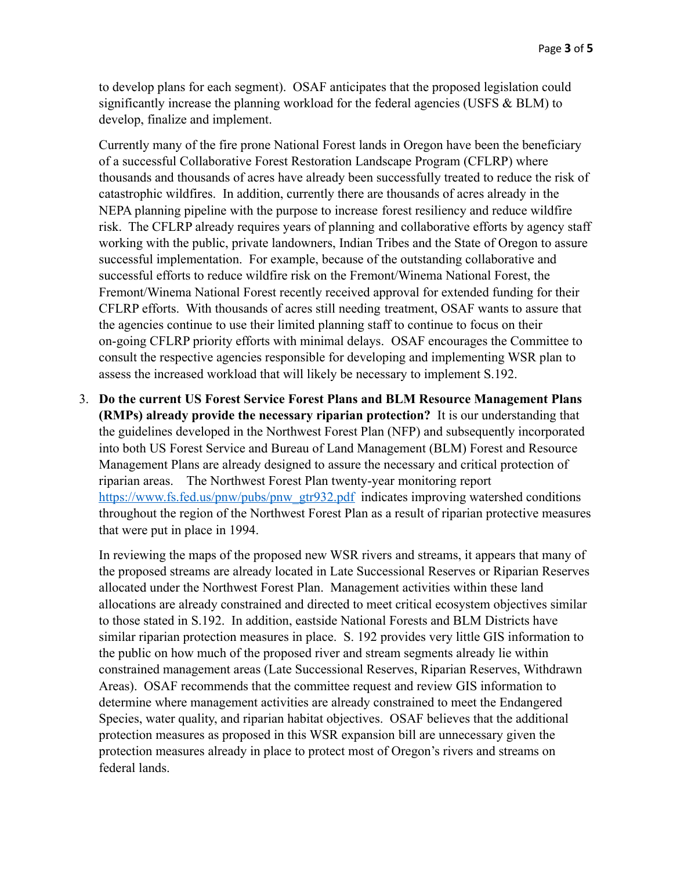to develop plans for each segment). OSAF anticipates that the proposed legislation could significantly increase the planning workload for the federal agencies (USFS & BLM) to develop, finalize and implement.

Currently many of the fire prone National Forest lands in Oregon have been the beneficiary of a successful Collaborative Forest Restoration Landscape Program (CFLRP) where thousands and thousands of acres have already been successfully treated to reduce the risk of catastrophic wildfires. In addition, currently there are thousands of acres already in the NEPA planning pipeline with the purpose to increase forest resiliency and reduce wildfire risk. The CFLRP already requires years of planning and collaborative efforts by agency staff working with the public, private landowners, Indian Tribes and the State of Oregon to assure successful implementation. For example, because of the outstanding collaborative and successful efforts to reduce wildfire risk on the Fremont/Winema National Forest, the Fremont/Winema National Forest recently received approval for extended funding for their CFLRP efforts. With thousands of acres still needing treatment, OSAF wants to assure that the agencies continue to use their limited planning staff to continue to focus on their on-going CFLRP priority efforts with minimal delays. OSAF encourages the Committee to consult the respective agencies responsible for developing and implementing WSR plan to assess the increased workload that will likely be necessary to implement S.192.

3. **Do the current US Forest Service Forest Plans and BLM Resource Management Plans (RMPs) already provide the necessary riparian protection?** It is our understanding that the guidelines developed in the Northwest Forest Plan (NFP) and subsequently incorporated into both US Forest Service and Bureau of Land Management (BLM) Forest and Resource Management Plans are already designed to assure the necessary and critical protection of riparian areas. The Northwest Forest Plan twenty-year monitoring report [https://www.fs.fed.us/pnw/pubs/pnw\\_gtr932.pdf](https://www.fs.fed.us/pnw/pubs/pnw_gtr932.pdf) indicates improving watershed conditions throughout the region of the Northwest Forest Plan as a result of riparian protective measures that were put in place in 1994.

In reviewing the maps of the proposed new WSR rivers and streams, it appears that many of the proposed streams are already located in Late Successional Reserves or Riparian Reserves allocated under the Northwest Forest Plan. Management activities within these land allocations are already constrained and directed to meet critical ecosystem objectives similar to those stated in S.192. In addition, eastside National Forests and BLM Districts have similar riparian protection measures in place. S. 192 provides very little GIS information to the public on how much of the proposed river and stream segments already lie within constrained management areas (Late Successional Reserves, Riparian Reserves, Withdrawn Areas). OSAF recommends that the committee request and review GIS information to determine where management activities are already constrained to meet the Endangered Species, water quality, and riparian habitat objectives. OSAF believes that the additional protection measures as proposed in this WSR expansion bill are unnecessary given the protection measures already in place to protect most of Oregon's rivers and streams on federal lands.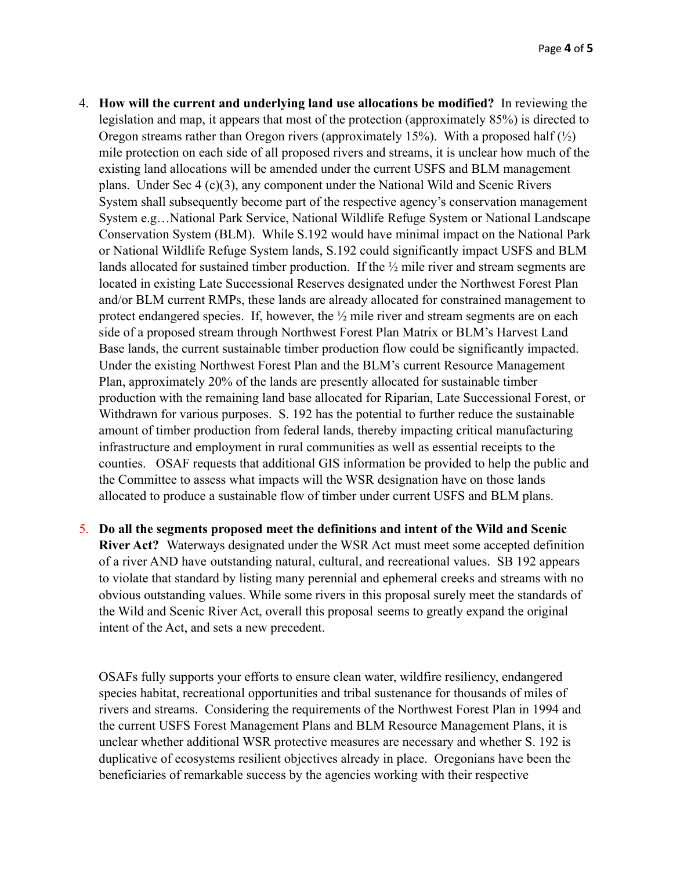- 4. **How will the current and underlying land use allocations be modified?** In reviewing the legislation and map, it appears that most of the protection (approximately 85%) is directed to Oregon streams rather than Oregon rivers (approximately 15%). With a proposed half  $\binom{1}{2}$ mile protection on each side of all proposed rivers and streams, it is unclear how much of the existing land allocations will be amended under the current USFS and BLM management plans. Under Sec 4 (c)(3), any component under the National Wild and Scenic Rivers System shall subsequently become part of the respective agency's conservation management System e.g…National Park Service, National Wildlife Refuge System or National Landscape Conservation System (BLM). While S.192 would have minimal impact on the National Park or National Wildlife Refuge System lands, S.192 could significantly impact USFS and BLM lands allocated for sustained timber production. If the  $\frac{1}{2}$  mile river and stream segments are located in existing Late Successional Reserves designated under the Northwest Forest Plan and/or BLM current RMPs, these lands are already allocated for constrained management to protect endangered species. If, however, the ½ mile river and stream segments are on each side of a proposed stream through Northwest Forest Plan Matrix or BLM's Harvest Land Base lands, the current sustainable timber production flow could be significantly impacted. Under the existing Northwest Forest Plan and the BLM's current Resource Management Plan, approximately 20% of the lands are presently allocated for sustainable timber production with the remaining land base allocated for Riparian, Late Successional Forest, or Withdrawn for various purposes. S. 192 has the potential to further reduce the sustainable amount of timber production from federal lands, thereby impacting critical manufacturing infrastructure and employment in rural communities as well as essential receipts to the counties. OSAF requests that additional GIS information be provided to help the public and the Committee to assess what impacts will the WSR designation have on those lands allocated to produce a sustainable flow of timber under current USFS and BLM plans.
- 5. **Do all the segments proposed meet the definitions and intent of the Wild and Scenic River Act?** Waterways designated under the WSR Act must meet some accepted definition of a river AND have outstanding natural, cultural, and recreational values. SB 192 appears to violate that standard by listing many perennial and ephemeral creeks and streams with no obvious outstanding values. While some rivers in this proposal surely meet the standards of the Wild and Scenic River Act, overall this proposal seems to greatly expand the original intent of the Act, and sets a new precedent.

OSAFs fully supports your efforts to ensure clean water, wildfire resiliency, endangered species habitat, recreational opportunities and tribal sustenance for thousands of miles of rivers and streams. Considering the requirements of the Northwest Forest Plan in 1994 and the current USFS Forest Management Plans and BLM Resource Management Plans, it is unclear whether additional WSR protective measures are necessary and whether S. 192 is duplicative of ecosystems resilient objectives already in place. Oregonians have been the beneficiaries of remarkable success by the agencies working with their respective